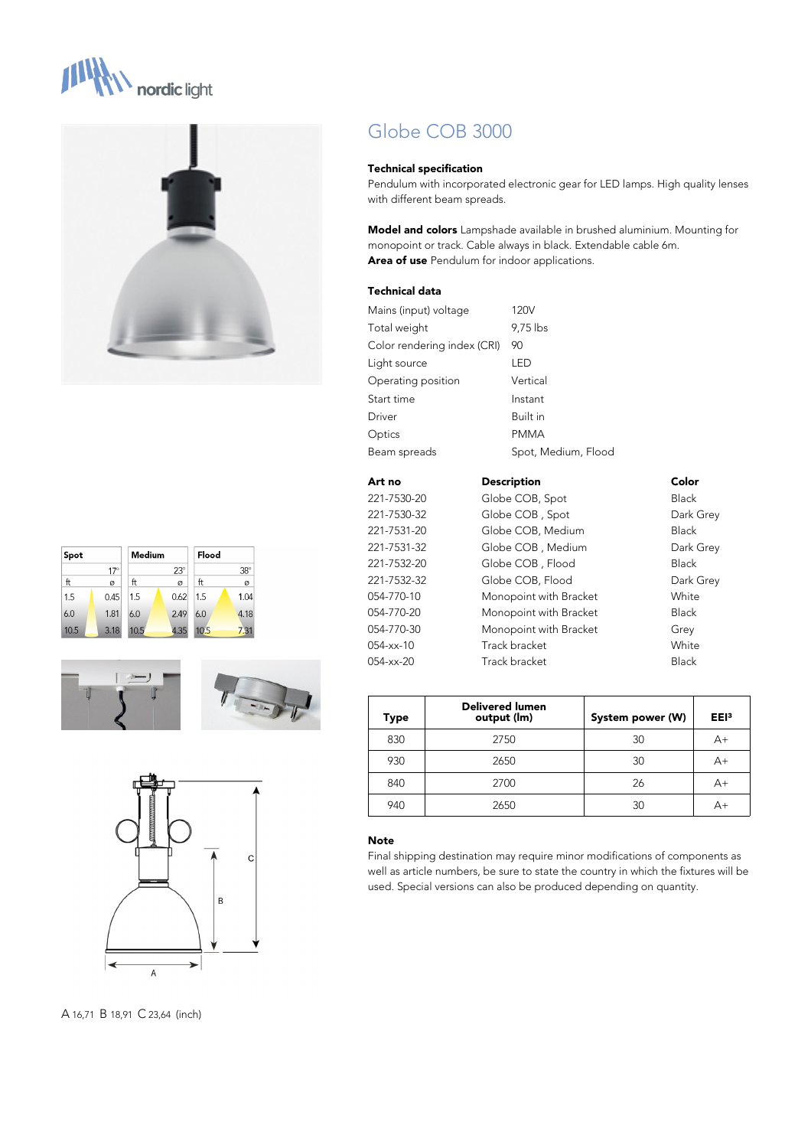











Globe COB 3000

#### **Technical specification**

Pendulum with incorporated electronic gear for LED lamps. High quality lenses with different beam spreads.

**Model and colors** Lampshade available in brushed aluminium. Mounting for monopoint or track. Cable always in black. Extendable cable 6m. **Area of use** Pendulum for indoor applications.

#### **Technical data**

| Mains (input) voltage       | 120V                |
|-----------------------------|---------------------|
| Total weight                | 9,75 lbs            |
| Color rendering index (CRI) | 90                  |
| Light source                | led                 |
| Operating position          | Vertical            |
| Start time                  | Instant             |
| Driver                      | Built in            |
| Optics                      | <b>PMMA</b>         |
| Beam spreads                | Spot, Medium, Flood |
|                             |                     |

| Art no      | <b>Description</b>     | Color        |
|-------------|------------------------|--------------|
| 221-7530-20 | Globe COB, Spot        | <b>Black</b> |
| 221-7530-32 | Globe COB, Spot        | Dark Grey    |
| 221-7531-20 | Globe COB, Medium      | <b>Black</b> |
| 221-7531-32 | Globe COB, Medium      | Dark Grey    |
| 221-7532-20 | Globe COB, Flood       | <b>Black</b> |
| 221-7532-32 | Globe COB, Flood       | Dark Grey    |
| 054-770-10  | Monopoint with Bracket | White        |
| 054-770-20  | Monopoint with Bracket | <b>Black</b> |
| 054-770-30  | Monopoint with Bracket | Grey         |
| 054-xx-10   | Track bracket          | White        |
| 054-xx-20   | Track bracket          | <b>Black</b> |
|             |                        |              |

| Type | <b>Delivered lumen</b><br>output (lm) | System power (W) | EE <sub>13</sub> |
|------|---------------------------------------|------------------|------------------|
| 830  | 2750                                  | 30               | $A+$             |
| 930  | 2650                                  | 30               | A+               |
| 840  | 2700                                  | 26               | A+               |
| 940  | 2650                                  | 30               | A+               |

#### **Note**

Final shipping destination may require minor modifications of components as well as article numbers, be sure to state the country in which the fixtures will be used. Special versions can also be produced depending on quantity.

A 16,71 B 18,91 C 23,64 (inch)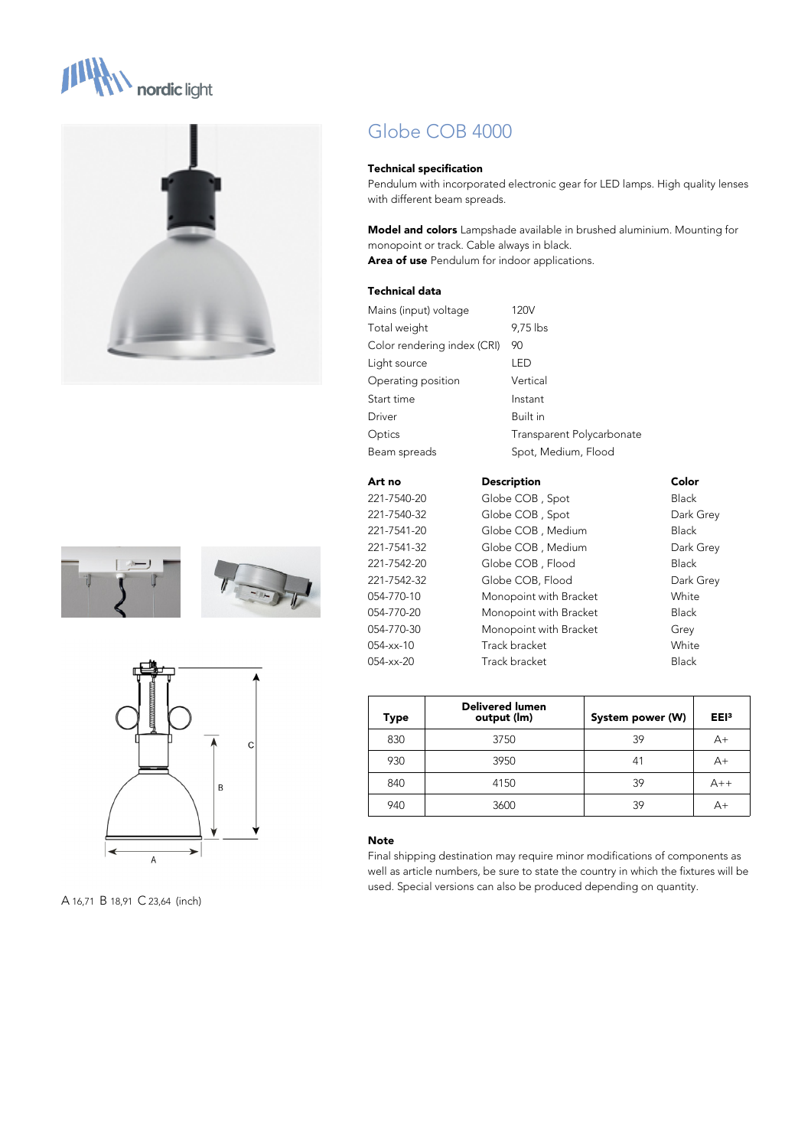







A 16,71 B 18,91 C 23,64 (inch)

# Globe COB 4000

#### **Technical specification**

Pendulum with incorporated electronic gear for LED lamps. High quality lenses with different beam spreads.

**Model and colors** Lampshade available in brushed aluminium. Mounting for monopoint or track. Cable always in black. **Area of use** Pendulum for indoor applications.

## **Technical data**

| Mains (input) voltage       | 120V                      |
|-----------------------------|---------------------------|
| Total weight                | 9,75 lbs                  |
| Color rendering index (CRI) | 90                        |
| Light source                | I FD                      |
| Operating position          | Vertical                  |
| Start time                  | Instant                   |
| Driver                      | Built in                  |
| Optics                      | Transparent Polycarbonate |
| Beam spreads                | Spot, Medium, Flood       |
|                             |                           |

| Art no      | <b>Description</b>     | Color        |
|-------------|------------------------|--------------|
| 221-7540-20 | Globe COB, Spot        | <b>Black</b> |
| 221-7540-32 | Globe COB, Spot        | Dark Grey    |
| 221-7541-20 | Globe COB, Medium      | <b>Black</b> |
| 221-7541-32 | Globe COB, Medium      | Dark Grey    |
| 221-7542-20 | Globe COB, Flood       | <b>Black</b> |
| 221-7542-32 | Globe COB, Flood       | Dark Grey    |
| 054-770-10  | Monopoint with Bracket | White        |
| 054-770-20  | Monopoint with Bracket | <b>Black</b> |
| 054-770-30  | Monopoint with Bracket | Grey         |
| 054-xx-10   | Track bracket          | White        |
| 054-xx-20   | Track bracket          | <b>Black</b> |

| <b>Type</b> | Delivered lumen<br>output (Im) | System power (W) | EE <sub>13</sub> |
|-------------|--------------------------------|------------------|------------------|
| 830         | 3750                           | 39               | $A+$             |
| 930         | 3950                           | 41               | $A+$             |
| 840         | 4150                           | 39               | $A++$            |
| 940         | 3600                           | 39               | $A+$             |

#### **Note**

Final shipping destination may require minor modifications of components as well as article numbers, be sure to state the country in which the fixtures will be used. Special versions can also be produced depending on quantity.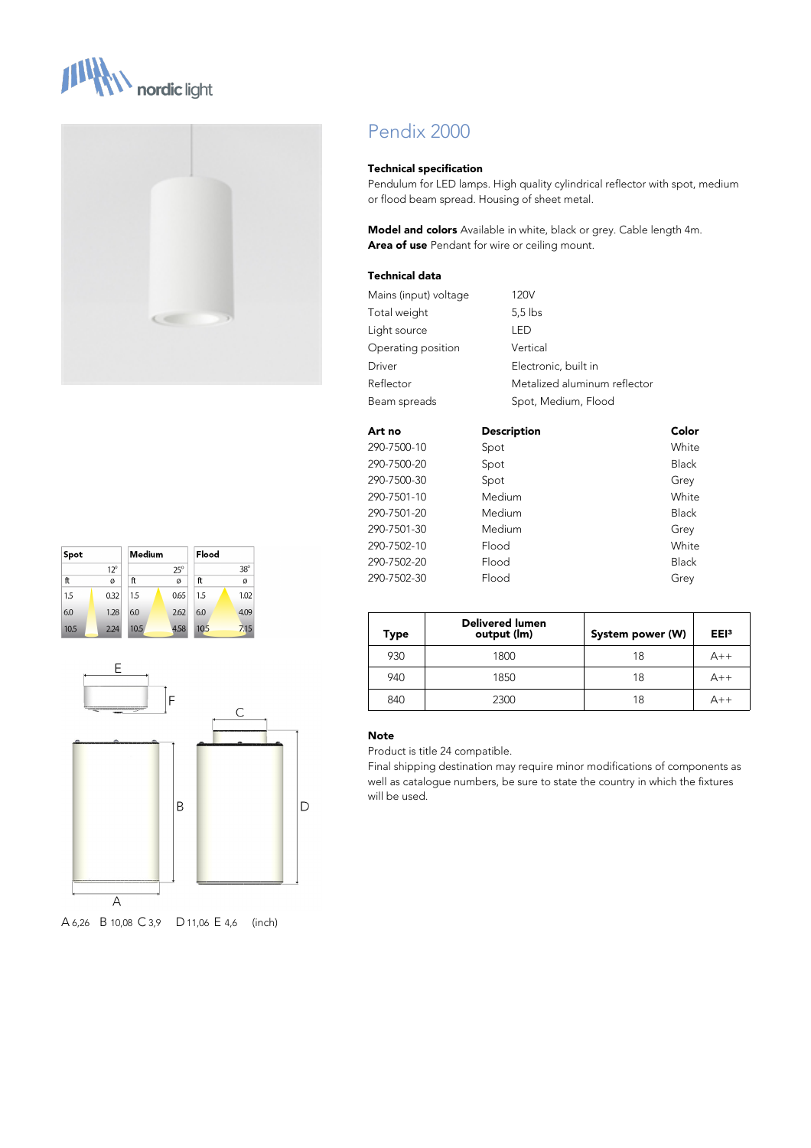







A 6,26 B 10,08 C 3,9 D11,06 E 4,6 (inch)

# Pendix 2000

#### **Technical specification**

Pendulum for LED lamps. High quality cylindrical reflector with spot, medium or flood beam spread. Housing of sheet metal.

**Model and colors** Available in white, black or grey. Cable length 4m. **Area of use** Pendant for wire or ceiling mount.

## **Technical data**

| Mains (input) voltage | 120V                         |
|-----------------------|------------------------------|
| Total weight          | $5.5$ lbs                    |
| Light source          | I FD                         |
| Operating position    | Vertical                     |
| Driver                | Electronic, built in         |
| Reflector             | Metalized aluminum reflector |
| Beam spreads          | Spot, Medium, Flood          |

| Art no      | <b>Description</b> | Color        |
|-------------|--------------------|--------------|
| 290-7500-10 | Spot               | White        |
| 290-7500-20 | Spot               | <b>Black</b> |
| 290-7500-30 | Spot               | Grey         |
| 290-7501-10 | Medium             | White        |
| 290-7501-20 | Medium             | <b>Black</b> |
| 290-7501-30 | Medium             | Grey         |
| 290-7502-10 | Flood              | White        |
| 290-7502-20 | Flood              | <b>Black</b> |
| 290-7502-30 | Flood              | Grey         |

| Type | <b>Delivered lumen</b><br>output (lm) | System power (W) | EE <sub>13</sub> |
|------|---------------------------------------|------------------|------------------|
| 930  | 1800                                  | 18               | $A++$            |
| 940  | 1850                                  | 18               | $A++$            |
| 840  | 2300                                  | 18               | $A++$            |

#### **Note**

Product is title 24 compatible.

Final shipping destination may require minor modifications of components as well as catalogue numbers, be sure to state the country in which the fixtures will be used.